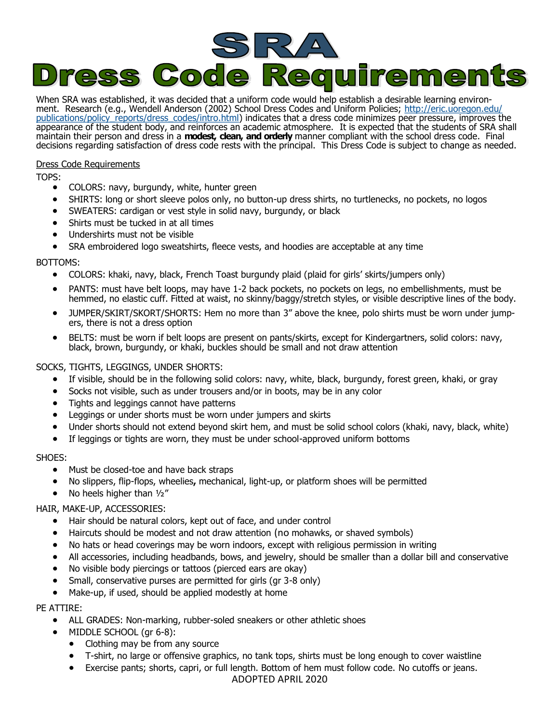

When SRA was established, it was decided that a uniform code would help establish a desirable learning environment. Research (e.g., Wendell Anderson (2002) School Dress Codes and Uniform Policies; [http://eric.uoregon.edu/](http://eric.uoregon.edu/publications/policy_reports/dress_codes/intro.html) [publications/policy\\_reports/dress\\_codes/intro.html\)](http://eric.uoregon.edu/publications/policy_reports/dress_codes/intro.html) indicates that a dress code minimizes peer pressure, improves the appearance of the student body, and reinforces an academic atmosphere. It is expected that the students of SRA shall maintain their person and dress in a **modest, clean, and orderly** manner compliant with the school dress code. Final decisions regarding satisfaction of dress code rests with the principal. This Dress Code is subject to change as needed.

## Dress Code Requirements

TOPS:

- COLORS: navy, burgundy, white, hunter green
- SHIRTS: long or short sleeve polos only, no button-up dress shirts, no turtlenecks, no pockets, no logos
- SWEATERS: cardigan or vest style in solid navy, burgundy, or black
- Shirts must be tucked in at all times
- Undershirts must not be visible
- SRA embroidered logo sweatshirts, fleece vests, and hoodies are acceptable at any time

### BOTTOMS:

- COLORS: khaki, navy, black, French Toast burgundy plaid (plaid for girls' skirts/jumpers only)
- PANTS: must have belt loops, may have 1-2 back pockets, no pockets on legs, no embellishments, must be hemmed, no elastic cuff. Fitted at waist, no skinny/baggy/stretch styles, or visible descriptive lines of the body.
- JUMPER/SKIRT/SKORT/SHORTS: Hem no more than 3" above the knee, polo shirts must be worn under jumpers, there is not a dress option
- BELTS: must be worn if belt loops are present on pants/skirts, except for Kindergartners, solid colors: navy, black, brown, burgundy, or khaki, buckles should be small and not draw attention

## SOCKS, TIGHTS, LEGGINGS, UNDER SHORTS:

- If visible, should be in the following solid colors: navy, white, black, burgundy, forest green, khaki, or gray
- Socks not visible, such as under trousers and/or in boots, may be in any color
- Tights and leggings cannot have patterns
- Leggings or under shorts must be worn under jumpers and skirts
- Under shorts should not extend beyond skirt hem, and must be solid school colors (khaki, navy, black, white)
- If leggings or tights are worn, they must be under school-approved uniform bottoms

#### SHOES:

- Must be closed-toe and have back straps
- No slippers, flip-flops, wheelies**,** mechanical, light-up, or platform shoes will be permitted
- $\bullet$  No heels higher than  $1/2''$

# HAIR, MAKE-UP, ACCESSORIES:

- Hair should be natural colors, kept out of face, and under control
- Haircuts should be modest and not draw attention (no mohawks, or shaved symbols)
- No hats or head coverings may be worn indoors, except with religious permission in writing
- All accessories, including headbands, bows, and jewelry, should be smaller than a dollar bill and conservative
- No visible body piercings or tattoos (pierced ears are okay)
- Small, conservative purses are permitted for girls (gr 3-8 only)
- Make-up, if used, should be applied modestly at home

# PE ATTIRE:

- ALL GRADES: Non-marking, rubber-soled sneakers or other athletic shoes
- MIDDLE SCHOOL (gr 6-8):
	- Clothing may be from any source
	- T-shirt, no large or offensive graphics, no tank tops, shirts must be long enough to cover waistline
	- Exercise pants; shorts, capri, or full length. Bottom of hem must follow code. No cutoffs or jeans.